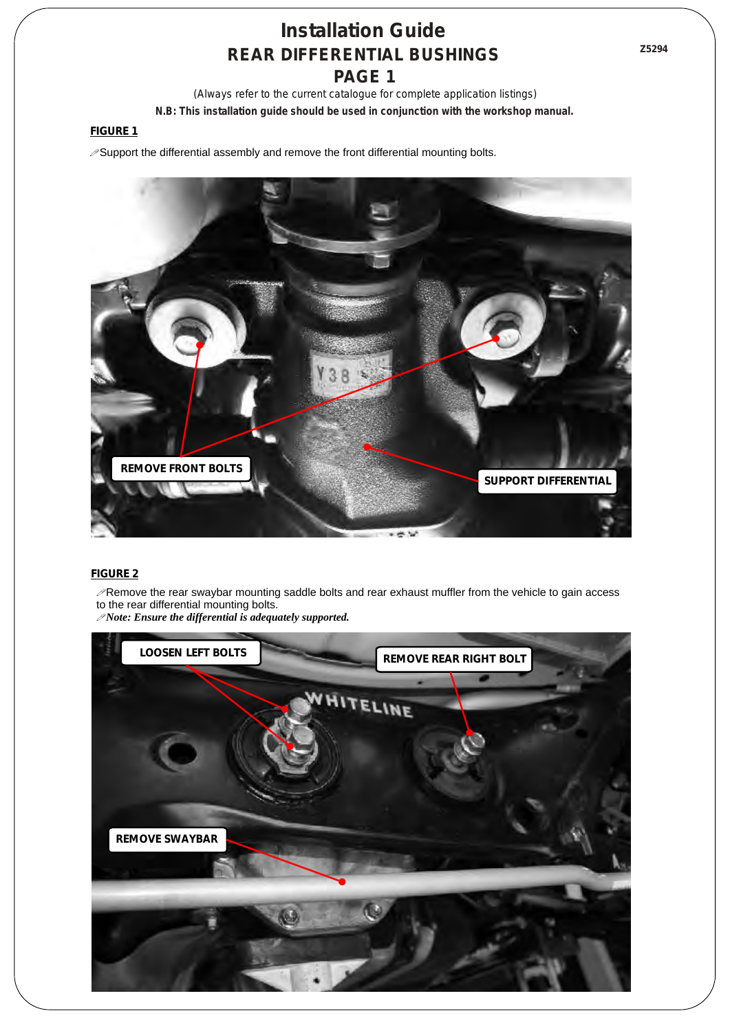*(Always refer to the current catalogue for complete application listings)* **N.B: This installation guide should be used in conjunction with the workshop manual.** 

#### **FIGURE 1**

 $\mathscr{P}$ Support the differential assembly and remove the front differential mounting bolts.



#### **FIGURE 2**

 $\mathscr P$ Remove the rear swaybar mounting saddle bolts and rear exhaust muffler from the vehicle to gain access to the rear differential mounting bolts.

!*Note: Ensure the differential is adequately supported.*

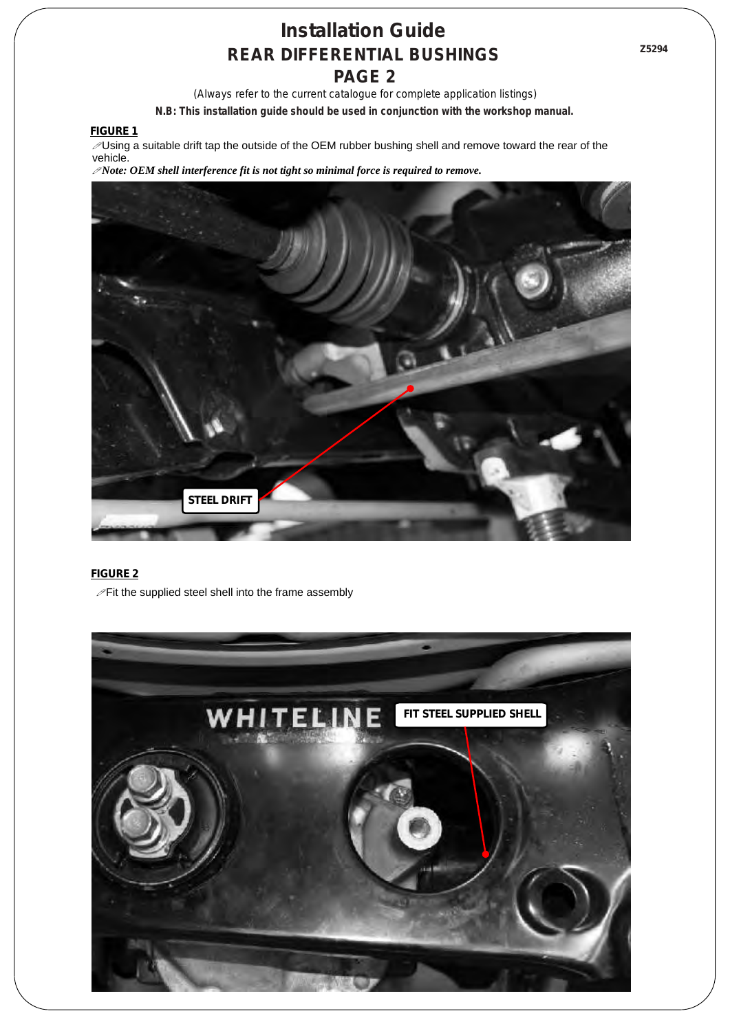*(Always refer to the current catalogue for complete application listings)* **N.B: This installation guide should be used in conjunction with the workshop manual.** 

**FIGURE 1**

 $\sqrt{\frac{y}{T}}$ Using a suitable drift tap the outside of the OEM rubber bushing shell and remove toward the rear of the vehicle.

!*Note: OEM shell interference fit is not tight so minimal force is required to remove.*



### **FIGURE 2**

 $\mathcal P$ Fit the supplied steel shell into the frame assembly

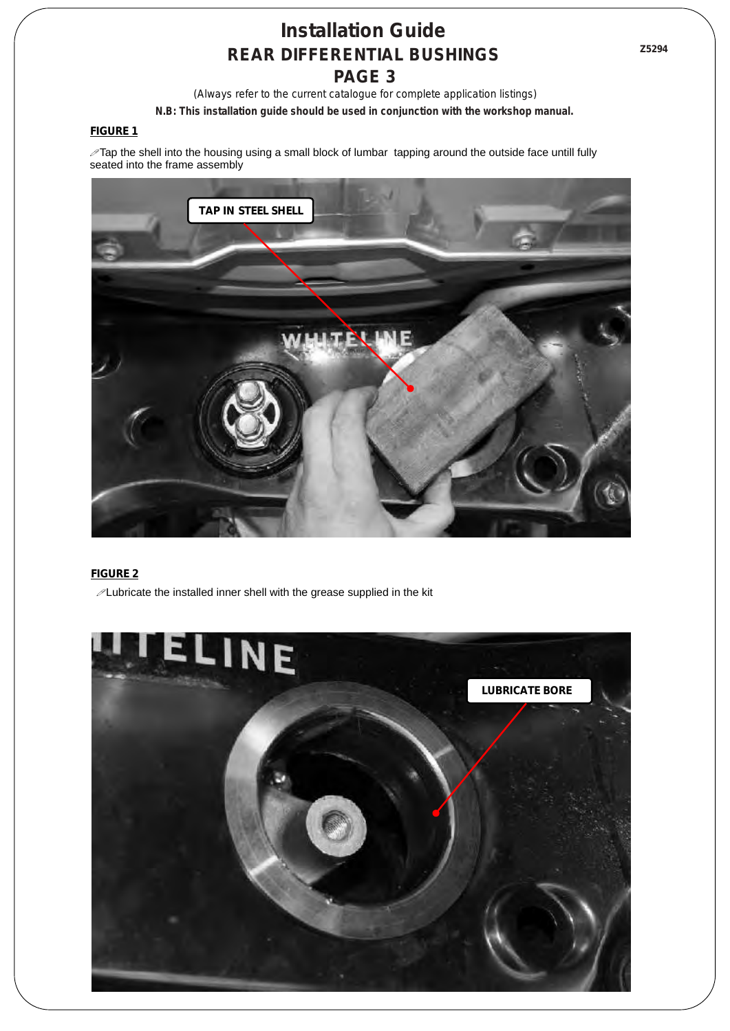*(Always refer to the current catalogue for complete application listings)* **N.B: This installation guide should be used in conjunction with the workshop manual.** 

#### **FIGURE 1**

 $\mathscr I$ Tap the shell into the housing using a small block of lumbar tapping around the outside face untill fully seated into the frame assembly



### **FIGURE 2**

 $\mathcal P$  Lubricate the installed inner shell with the grease supplied in the kit

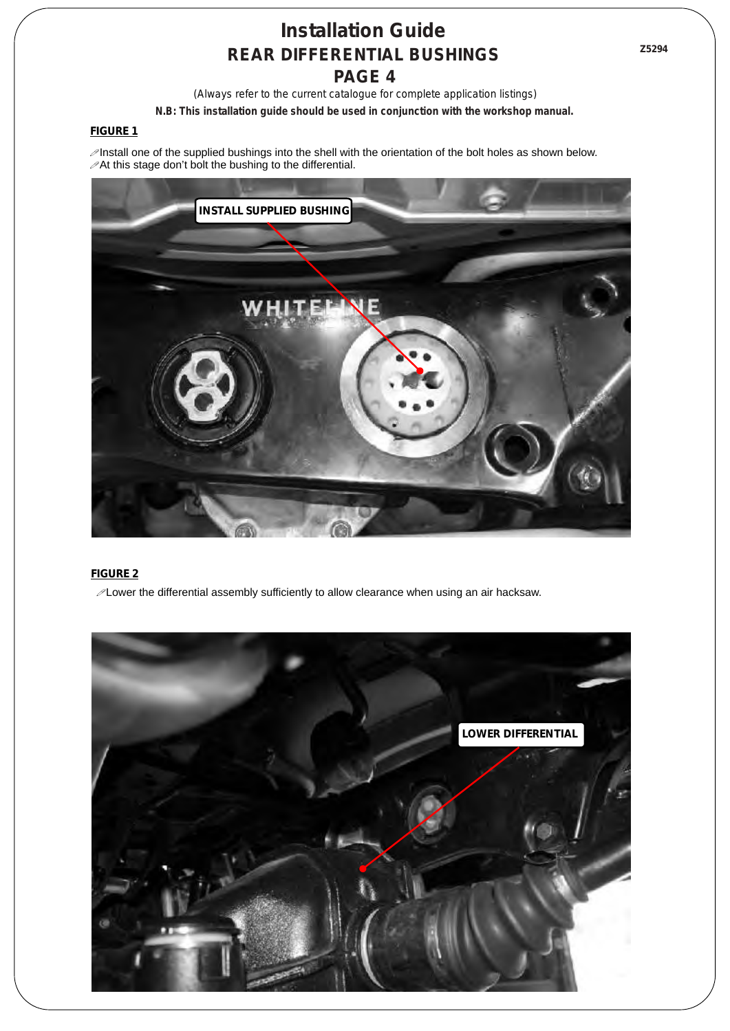**Z5294**

*(Always refer to the current catalogue for complete application listings)* **N.B: This installation guide should be used in conjunction with the workshop manual.** 

### **FIGURE 1**

 $\mathscr P$ Install one of the supplied bushings into the shell with the orientation of the bolt holes as shown below.  $\mathscr{P}$ At this stage don't bolt the bushing to the differential.



### **FIGURE 2**

 $\mathscr{P}$  Lower the differential assembly sufficiently to allow clearance when using an air hacksaw.

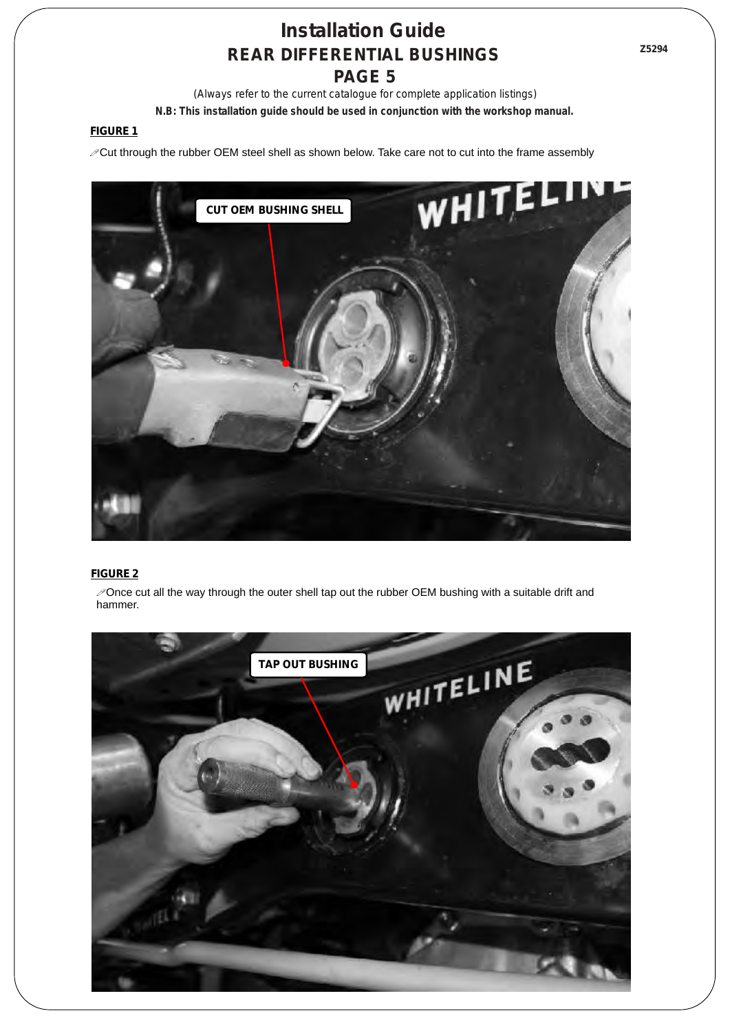*(Always refer to the current catalogue for complete application listings)* **N.B: This installation guide should be used in conjunction with the workshop manual.** 

### **FIGURE 1**

!Cut through the rubber OEM steel shell as shown below. Take care not to cut into the frame assembly



### **FIGURE 2**

 $\mathscr P$  Once cut all the way through the outer shell tap out the rubber OEM bushing with a suitable drift and hammer.